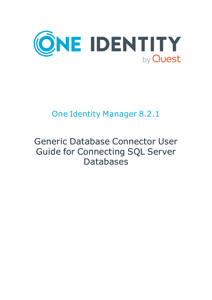

# One Identity Manager 8.2.1

# Generic Database Connector User Guide for Connecting SQL Server Databases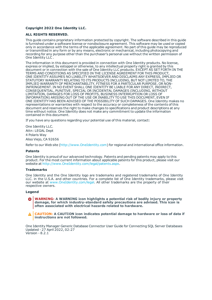#### **Copyright 2022 One Identity LLC.**

#### **ALL RIGHTS RESERVED.**

This guide contains proprietary information protected by copyright. The software described in this guide is furnished under a software license or nondisclosure agreement. This software may be used or copied only in accordance with the terms of the applicable agreement. No part of this guide may be reproduced or transmitted in any form or by any means, electronic or mechanical, including photocopying and recording for any purpose other than the purchaser's personal use without the written permission of One Identity LLC .

The information in this document is provided in connection with One Identity products. No license, express or implied, by estoppel or otherwise, to any intellectual property right is granted by this document or in connection with the sale of One Identity LLC products. EXCEPT AS SET FORTH IN THE TERMS AND CONDITIONS AS SPECIFIED IN THE LICENSE AGREEMENT FOR THIS PRODUCT, ONE IDENTITY ASSUMES NO LIABILITY WHATSOEVER AND DISCLAIMS ANY EXPRESS, IMPLIED OR STATUTORY WARRANTY RELATING TO ITS PRODUCTS INCLUDING, BUT NOT LIMITED TO, THE IMPLIED WARRANTY OF MERCHANTABILITY, FITNESS FOR A PARTICULAR PURPOSE, OR NON-INFRINGEMENT. IN NO EVENT SHALL ONE IDENTITY BE LIABLE FOR ANY DIRECT, INDIRECT, CONSEQUENTIAL, PUNITIVE, SPECIAL OR INCIDENTAL DAMAGES (INCLUDING, WITHOUT LIMITATION, DAMAGES FOR LOSS OF PROFITS, BUSINESS INTERRUPTION OR LOSS OF INFORMATION) ARISING OUT OF THE USE OR INABILITY TO USE THIS DOCUMENT, EVEN IF ONE IDENTITY HAS BEEN ADVISED OF THE POSSIBILITY OF SUCH DAMAGES. One Identity makes no representations or warranties with respect to the accuracy or completeness of the contents of this document and reserves the right to make changes to specifications and product descriptions at any time without notice. One Identity does not make any commitment to update the information contained in this document.

If you have any questions regarding your potential use of this material, contact:

One Identity LLC. Attn: LEGAL Dept 4 Polaris Way Aliso Viejo, CA 92656

Refer to our Web site ([http://www.OneIdentity.com](http://www.oneidentity.com/)) for regional and international office information.

#### **Patents**

One Identity is proud of our advanced technology. Patents and pending patents may apply to this product. For the most current information about applicable patents for this product, please visit our website at [http://www.OneIdentity.com/legal/patents.aspx](http://www.oneidentity.com/legal/patents.aspx).

#### **Trademarks**

One Identity and the One Identity logo are trademarks and registered trademarks of One Identity LLC. in the U.S.A. and other countries. For a complete list of One Identity trademarks, please visit our website at [www.OneIdentity.com/legal](http://www.oneidentity.com/legal). All other trademarks are the property of their respective owners.

#### **Legend**

- **WARNING: A WARNING icon highlights a potential risk of bodily injury or property damage, for which industry-standard safety precautions are advised. This icon is often associated with electrical hazards related to hardware.**
- **CAUTION: A CAUTION icon indicates potential damage to hardware or loss of data if** A **instructions are not followed.**

One Identity Manager Generic Database Connector User Guide for Connecting SQL Server Databases Updated - 27 April 2022, 02:27 Version - 8.2.1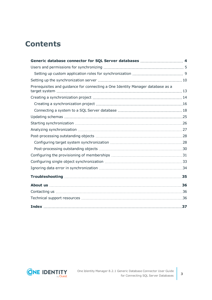## **Contents**

| Prerequisites and guidance for connecting a One Identity Manager database as a |  |
|--------------------------------------------------------------------------------|--|
|                                                                                |  |
|                                                                                |  |
|                                                                                |  |
|                                                                                |  |
|                                                                                |  |
|                                                                                |  |
|                                                                                |  |
|                                                                                |  |
|                                                                                |  |
|                                                                                |  |
|                                                                                |  |
|                                                                                |  |
|                                                                                |  |
|                                                                                |  |
|                                                                                |  |
|                                                                                |  |
|                                                                                |  |

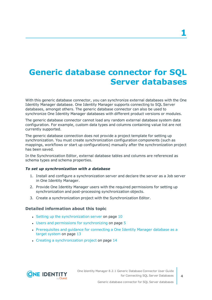# <span id="page-3-0"></span>**Generic database connector for SQL Server databases**

With this generic database connector, you can synchronize external databases with the One Identity Manager database. One Identity Manager supports connecting to SQL Server databases, amongst others. The generic database connector can also be used to synchronize One Identity Manager databases with different product versions or modules.

The generic database connector cannot load any random external database system data configuration. For example, custom data types and columns containing value list are not currently supported.

The generic database connection does not provide a project template for setting up synchronization. You must create synchronization configuration components (such as mappings, workflows or start up configurations) manually after the synchronization project has been saved.

In the Synchronization Editor, external database tables and columns are referenced as schema types and schema properties.

#### *To set up synchronization with a database*

- 1. Install and configure a synchronization server and declare the server as a Job server in One Identity Manager.
- 2. Provide One Identity Manager users with the required permissions for setting up synchronization and post-processing synchronization objects.
- 3. Create a synchronization project with the Synchronization Editor.

#### **Detailed information about this topic**

- $\cdot$  Setting up the [synchronization](#page-9-0) server on page 10
- $\cdot$  Users and permissions for [synchronizing](#page-4-0) on page  $5$
- [Prerequisites](#page-12-0) and quidance for connecting a One Identity Manager database as a target [system](#page-12-0) on page 13
- Creating a [synchronization](#page-13-0) project on page 14



Generic database connector for SQL Server databases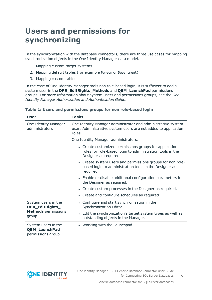# <span id="page-4-0"></span>**Users and permissions for synchronizing**

In the synchronization with the database connectors, there are three use cases for mapping synchronization objects in the One Identity Manager data model.

- 1. Mapping custom target systems
- 2. Mapping default tables (for example Person or Department)
- 3. Mapping custom tables

In the case of One Identity Manager tools non role-based login, it is sufficient to add a system user in the **DPR\_EditRights\_Methods** and **QBM\_LaunchPad** permissions groups. For more information about system users and permissions groups, see the *One Identity Manager Authorization and Authentication Guide*.

| <b>User</b>                                                      | <b>Tasks</b>                                                                                                                                 |  |  |  |
|------------------------------------------------------------------|----------------------------------------------------------------------------------------------------------------------------------------------|--|--|--|
| One Identity Manager<br>administrators                           | One Identity Manager administrator and administrative system<br>users Administrative system users are not added to application<br>roles.     |  |  |  |
|                                                                  | One Identity Manager administrators:                                                                                                         |  |  |  |
|                                                                  | • Create customized permissions groups for application<br>roles for role-based login to administration tools in the<br>Designer as required. |  |  |  |
|                                                                  | • Create system users and permissions groups for non role-<br>based login to administration tools in the Designer as<br>required.            |  |  |  |
|                                                                  | • Enable or disable additional configuration parameters in<br>the Designer as required.                                                      |  |  |  |
|                                                                  | • Create custom processes in the Designer as required.                                                                                       |  |  |  |
|                                                                  | • Create and configure schedules as required.                                                                                                |  |  |  |
| System users in the<br>DPR_EditRights_                           | • Configure and start synchronization in the<br>Synchronization Editor.                                                                      |  |  |  |
| <b>Methods</b> permissions<br>group                              | • Edit the synchronization's target system types as well as<br>outstanding objects in the Manager.                                           |  |  |  |
| System users in the<br><b>QBM_LaunchPad</b><br>permissions group | • Working with the Launchpad.                                                                                                                |  |  |  |

#### **Table 1: Users and permissions groups for non role-based login**

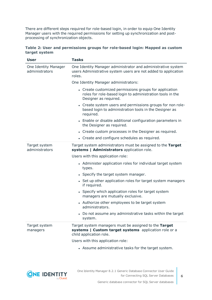There are different steps required for role-based login, in order to equip One Identity Manager users with the required permissions for setting up synchronization and postprocessing of synchronization objects.

|               | Table 2: User and permissions groups for role-based login: Mapped as custom |  |  |  |
|---------------|-----------------------------------------------------------------------------|--|--|--|
| target system |                                                                             |  |  |  |

| <b>User</b>                            | <b>Tasks</b>                                                                                                                                 |  |  |  |
|----------------------------------------|----------------------------------------------------------------------------------------------------------------------------------------------|--|--|--|
| One Identity Manager<br>administrators | One Identity Manager administrator and administrative system<br>users Administrative system users are not added to application<br>roles.     |  |  |  |
|                                        | One Identity Manager administrators:                                                                                                         |  |  |  |
|                                        | • Create customized permissions groups for application<br>roles for role-based login to administration tools in the<br>Designer as required. |  |  |  |
|                                        | • Create system users and permissions groups for non role-<br>based login to administration tools in the Designer as<br>required.            |  |  |  |
|                                        | • Enable or disable additional configuration parameters in<br>the Designer as required.                                                      |  |  |  |
|                                        | • Create custom processes in the Designer as required.                                                                                       |  |  |  |
|                                        | • Create and configure schedules as required.                                                                                                |  |  |  |
| Target system<br>administrators        | Target system administrators must be assigned to the Target<br>systems   Administrators application role.                                    |  |  |  |
|                                        | Users with this application role:                                                                                                            |  |  |  |
|                                        | • Administer application roles for individual target system<br>types.                                                                        |  |  |  |
|                                        | • Specify the target system manager.                                                                                                         |  |  |  |
|                                        | • Set up other application roles for target system managers<br>if required.                                                                  |  |  |  |
|                                        | • Specify which application roles for target system<br>managers are mutually exclusive.                                                      |  |  |  |
|                                        | • Authorize other employees to be target system<br>administrators.                                                                           |  |  |  |
|                                        | • Do not assume any administrative tasks within the target<br>system.                                                                        |  |  |  |
| Target system<br>managers              | Target system managers must be assigned to the Target<br>systems   Custom target systems application role or a<br>child application role.    |  |  |  |
|                                        | Users with this application role:                                                                                                            |  |  |  |
|                                        | • Assume administrative tasks for the target system.                                                                                         |  |  |  |

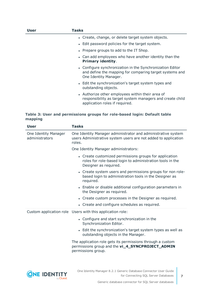| User | Tasks                                                                                                                                           |
|------|-------------------------------------------------------------------------------------------------------------------------------------------------|
|      | • Create, change, or delete target system objects.                                                                                              |
|      | • Edit password policies for the target system.                                                                                                 |
|      | • Prepare groups to add to the IT Shop.                                                                                                         |
|      | • Can add employees who have another identity than the<br><b>Primary identity.</b>                                                              |
|      | • Configure synchronization in the Synchronization Editor<br>and define the mapping for comparing target systems and<br>One Identity Manager.   |
|      | • Edit the synchronization's target system types and<br>outstanding objects.                                                                    |
|      | • Authorize other employees within their area of<br>responsibility as target system managers and create child<br>application roles if required. |

#### **Table 3: User and permissions groups for role-based login: Default table mapping**

|                                        | <b>User</b> | <b>Tasks</b>                                                                                                                                 |  |  |
|----------------------------------------|-------------|----------------------------------------------------------------------------------------------------------------------------------------------|--|--|
| One Identity Manager<br>administrators |             | One Identity Manager administrator and administrative system<br>users Administrative system users are not added to application<br>roles.     |  |  |
|                                        |             | One Identity Manager administrators:                                                                                                         |  |  |
|                                        |             | • Create customized permissions groups for application<br>roles for role-based login to administration tools in the<br>Designer as required. |  |  |
|                                        |             | • Create system users and permissions groups for non role-<br>based login to administration tools in the Designer as<br>required.            |  |  |
|                                        |             | • Enable or disable additional configuration parameters in<br>the Designer as required.                                                      |  |  |
|                                        |             | • Create custom processes in the Designer as required.                                                                                       |  |  |
|                                        |             | • Create and configure schedules as required.                                                                                                |  |  |
|                                        |             | Custom application role Users with this application role:                                                                                    |  |  |
|                                        |             | • Configure and start synchronization in the<br>Synchronization Editor.                                                                      |  |  |
|                                        |             | • Edit the synchronization's target system types as well as<br>outstanding objects in the Manager.                                           |  |  |
|                                        |             | The application role gets its permissions through a custom<br>permissions group and the vi_4_SYNCPROJECT_ADMIN<br>permissions group.         |  |  |
|                                        |             |                                                                                                                                              |  |  |

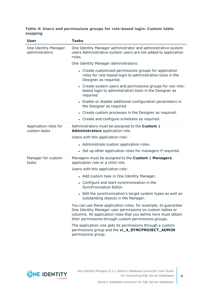#### **Table 4: Users and permissions groups for role-based login: Custom table mapping**

| <b>User</b>                            | <b>Tasks</b>                                                                                                                                                                                                                                           |  |  |  |
|----------------------------------------|--------------------------------------------------------------------------------------------------------------------------------------------------------------------------------------------------------------------------------------------------------|--|--|--|
| One Identity Manager<br>administrators | One Identity Manager administrator and administrative system<br>users Administrative system users are not added to application<br>roles.                                                                                                               |  |  |  |
|                                        | One Identity Manager administrators:                                                                                                                                                                                                                   |  |  |  |
|                                        | • Create customized permissions groups for application<br>roles for role-based login to administration tools in the<br>Designer as required.                                                                                                           |  |  |  |
|                                        | • Create system users and permissions groups for non role-<br>based login to administration tools in the Designer as<br>required.                                                                                                                      |  |  |  |
|                                        | • Enable or disable additional configuration parameters in<br>the Designer as required.                                                                                                                                                                |  |  |  |
|                                        | • Create custom processes in the Designer as required.                                                                                                                                                                                                 |  |  |  |
|                                        | • Create and configure schedules as required.                                                                                                                                                                                                          |  |  |  |
| Application roles for<br>custom tasks  | Administrators must be assigned to the <b>Custom</b>  <br>Administrators application role.                                                                                                                                                             |  |  |  |
|                                        | Users with this application role:                                                                                                                                                                                                                      |  |  |  |
|                                        | • Administrate custom application roles.                                                                                                                                                                                                               |  |  |  |
|                                        | • Set up other application roles for managers if required.                                                                                                                                                                                             |  |  |  |
| Manager for custom<br>tasks            | Managers must be assigned to the Custom   Managers<br>application role or a child role.                                                                                                                                                                |  |  |  |
|                                        | Users with this application role:                                                                                                                                                                                                                      |  |  |  |
|                                        | • Add custom task in One Identity Manager.                                                                                                                                                                                                             |  |  |  |
|                                        | • Configure and start synchronization in the<br>Synchronization Editor.                                                                                                                                                                                |  |  |  |
|                                        | • Edit the synchronization's target system types as well as<br>outstanding objects in the Manager.                                                                                                                                                     |  |  |  |
|                                        | You can use these application roles, for example, to guarantee<br>One Identity Manager user permissions on custom tables or<br>columns. All application roles that you define here must obtain<br>their permissions through custom permissions groups. |  |  |  |
|                                        | The application role gets its permissions through a custom<br>permissions group and the vi_4_SYNCPROJECT_ADMIN<br>permissions group.                                                                                                                   |  |  |  |

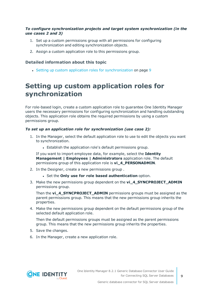#### *To configure synchronization projects and target system synchronization (in the use cases 2 and 3)*

- 1. Set up a custom permissions group with all permissions for configuring synchronization and editing synchronization objects.
- 2. Assign a custom application role to this permissions group.

#### **Detailed information about this topic**

• Setting up custom application roles for [synchronization](#page-8-0) on page 9

## <span id="page-8-0"></span>**Setting up custom application roles for synchronization**

For role-based login, create a custom application role to guarantee One Identity Manager users the necessary permissions for configuring synchronization and handling outstanding objects. This application role obtains the required permissions by using a custom permissions group.

#### *To set up an application role for synchronization (use case 2):*

- 1. In the Manager, select the default application role to use to edit the objects you want to synchronization.
	- Establish the application role's default permissions group.

If you want to import employee data, for example, select the **Identity Management | Employees | Administrators** application role. The default permissions group of this application role is **vi\_4\_PERSONADMIN**.

- 2. In the Designer, create a new permissions group .
	- <sup>l</sup> Set the **Only use for role based authentication** option.
- 3. Make the new permissions group dependent on the **vi\_4\_SYNCPROJECT\_ADMIN** permissions group.

Then the **vi\_4\_SYNCPROJECT\_ADMIN** permissions groups must be assigned as the parent permissions group. This means that the new permissions group inherits the properties.

4. Make the new permissions group dependent on the default permissions group of the selected default application role.

Then the default permissions groups must be assigned as the parent permissions group. This means that the new permissions group inherits the properties.

- 5. Save the changes.
- 6. In the Manager, create a new application role.

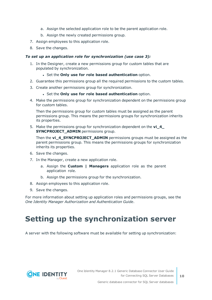- a. Assign the selected application role to be the parent application role.
- b. Assign the newly created permissions group.
- 7. Assign employees to this application role.
- 8. Save the changes.

#### *To set up an application role for synchronization (use case 3):*

- 1. In the Designer, create a new permissions group for custom tables that are populated by synchronization.
	- <sup>l</sup> Set the **Only use for role based authentication** option.
- 2. Guarantee this permissions group all the required permissions to the custom tables.
- 3. Create another permissions group for synchronization.
	- <sup>l</sup> Set the **Only use for role based authentication** option.
- 4. Make the permissions group for synchronization dependent on the permissions group for custom tables.

Then the permissions group for custom tables must be assigned as the parent permissions group. This means the permissions groups for synchronization inherits its properties.

5. Make the permissions group for synchronization dependent on the **vi\_4\_ SYNCPROJECT\_ADMIN** permissions group.

Then the **vi\_4\_SYNCPROJECT\_ADMIN** permissions groups must be assigned as the parent permissions group. This means the permissions groups for synchronization inherits its properties.

- 6. Save the changes.
- 7. In the Manager, create a new application role.
	- a. Assign the **Custom | Managers** application role as the parent application role.
	- b. Assign the permissions group for the synchronization.
- 8. Assign employees to this application role.
- 9. Save the changes.

For more information about setting up application roles and permissions groups, see the *One Identity Manager Authorization and Authentication Guide*.

# <span id="page-9-0"></span>**Setting up the synchronization server**

A server with the following software must be available for setting up synchronization:



Generic database connector for SQL Server databases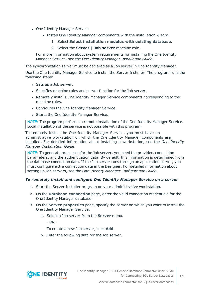- One Identity Manager Service
	- Install One Identity Manager components with the installation wizard.
		- 1. Select **Select installation modules with existing database**.
		- 2. Select the **Server | Job server** machine role.

For more information about system requirements for installing the One Identity Manager Service, see the *One Identity Manager Installation Guide*.

The synchronization server must be declared as a Job server in One Identity Manager.

Use the One Identity Manager Service to install the Server Installer. The program runs the following steps:

- Sets up a Job server.
- Specifies machine roles and server function for the Job server.
- Remotely installs One Identity Manager Service components corresponding to the machine roles.
- Configures the One Identity Manager Service.
- Starts the One Identity Manager Service.

NOTE: The program performs a remote installation of the One Identity Manager Service. Local installation of the service is not possible with this program.

To remotely install the One Identity Manager Service, you must have an administrative workstation on which the One Identity Manager components are installed. For detailed information about installing a workstation, see the *One Identity Manager Installation Guide*.

NOTE: To generate processes for the Job server, you need the provider, connection parameters, and the authentication data. By default, this information is determined from the database connection data. If the Job server runs through an application server, you must configure extra connection data in the Designer. For detailed information about setting up Job servers, see the *One Identity Manager Configuration Guide*.

#### *To remotely install and configure One Identity Manager Service on a server*

- 1. Start the Server Installer program on your administrative workstation.
- 2. On the **Database connection** page, enter the valid connection credentials for the One Identity Manager database.
- 3. On the **Server properties** page, specify the server on which you want to install the One Identity Manager Service.
	- a. Select a Job server from the **Server** menu.

 $- OR -$ 

To create a new Job server, click **Add**.

b. Enter the following data for the Job server.

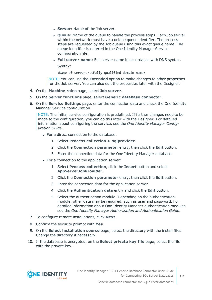- **Server: Name of the Job server.**
- **Queue**: Name of the queue to handle the process steps. Each Job server within the network must have a unique queue identifier. The process steps are requested by the Job queue using this exact queue name. The queue identifier is entered in the One Identity Manager Service configuration file.
- <sup>l</sup> **Full server name**: Full server name in accordance with DNS syntax.

Syntax:

<Name of servers>.<Fully qualified domain name>

NOTE: You can use the **Extended** option to make changes to other properties for the Job server. You can also edit the properties later with the Designer.

- 4. On the **Machine roles** page, select **Job server**.
- 5. On the **Server functions** page, select **Generic database connector**.
- 6. On the **Service Settings** page, enter the connection data and check the One Identity Manager Service configuration.

NOTE: The initial service configuration is predefined. If further changes need to be made to the configuration, you can do this later with the Designer. For detailed information about configuring the service, see the *One Identity Manager Configuration Guide*.

- For a direct connection to the database:
	- 1. Select **Process collection > sqlprovider**.
	- 2. Click the **Connection parameter** entry, then click the **Edit** button.
	- 3. Enter the connection data for the One Identity Manager database.
- For a connection to the application server:
	- 1. Select **Process collection**, click the **Insert** button and select **AppServerJobProvider**.
	- 2. Click the **Connection parameter** entry, then click the **Edit** button.
	- 3. Enter the connection data for the application server.
	- 4. Click the **Authentication data** entry and click the **Edit** button.
	- 5. Select the authentication module. Depending on the authentication module, other data may be required, such as user and password. For detailed information about One Identity Manager authentication modules, see the *One Identity Manager Authorization and Authentication Guide*.
- 7. To configure remote installations, click **Next**.
- 8. Confirm the security prompt with **Yes**.
- 9. On the **Select installation source** page, select the directory with the install files. Change the directory if necessary.
- 10. If the database is encrypted, on the **Select private key file** page, select the file with the private key.

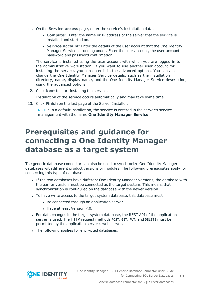- 11. On the **Service access** page, enter the service's installation data.
	- **Computer:** Enter the name or IP address of the server that the service is installed and started on.
	- **. Service account:** Enter the details of the user account that the One Identity Manager Service is running under. Enter the user account, the user account's password and password confirmation.

The service is installed using the user account with which you are logged in to the administrative workstation. If you want to use another user account for installing the service, you can enter it in the advanced options. You can also change the One Identity Manager Service details, such as the installation directory, name, display name, and the One Identity Manager Service description, using the advanced options.

12. Click **Next** to start installing the service.

Installation of the service occurs automatically and may take some time.

13. Click **Finish** on the last page of the Server Installer.

NOTE: In a default installation, the service is entered in the server's service management with the name **One Identity Manager Service**.

## <span id="page-12-0"></span>**Prerequisites and guidance for connecting a One Identity Manager database as a target system**

The generic database connector can also be used to synchronize One Identity Manager databases with different product versions or modules. The following prerequisites apply for connecting this type of database:

- If the two databases have different One Identity Manager versions, the database with the earlier version must be connected as the target system. This means that synchronization is configured on the database with the newer version.
- To have write access to the target system database, this database must
	- Be connected through an application server
	- $\cdot$  Have at least Version 7.0.
- For data changes in the target system database, the REST API of the application server is used. The HTTP request methods POST, GET, PUT, and DELETE must be permitted by the application server's web server.
- The following applies for encrypted databases:



**13**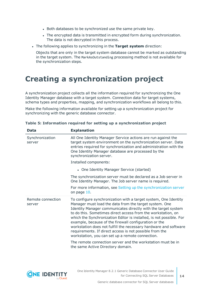- Both databases to be synchronized use the same private key.
- The encrypted data is transmitted in encrypted form during synchronization. The data is not decrypted in this process.
- <sup>l</sup> The following applies to synchronizing in the **Target system** direction:

Objects that are only in the target system database cannot be marked as outstanding in the target system. The MarkAsOutstanding processing method is not available for the synchronization steps.

# <span id="page-13-0"></span>**Creating a synchronization project**

A synchronization project collects all the information required for synchronizing the One Identity Manager database with a target system. Connection data for target systems, schema types and properties, mapping, and synchronization workflows all belong to this.

Make the following information available for setting up a synchronization project for synchronizing with the generic database connector.

| <b>Data</b>                 | <b>Explanation</b>                                                                                                                                                                                                                                                                                                                                                                                                                                                                                                                                                            |  |  |  |
|-----------------------------|-------------------------------------------------------------------------------------------------------------------------------------------------------------------------------------------------------------------------------------------------------------------------------------------------------------------------------------------------------------------------------------------------------------------------------------------------------------------------------------------------------------------------------------------------------------------------------|--|--|--|
| Synchronization<br>server   | All One Identity Manager Service actions are run against the<br>target system environment on the synchronization server. Data<br>entries required for synchronization and administration with the<br>One Identity Manager database are processed by the<br>synchronization server.                                                                                                                                                                                                                                                                                            |  |  |  |
|                             | Installed components:                                                                                                                                                                                                                                                                                                                                                                                                                                                                                                                                                         |  |  |  |
|                             | • One Identity Manager Service (started)                                                                                                                                                                                                                                                                                                                                                                                                                                                                                                                                      |  |  |  |
|                             | The synchronization server must be declared as a Job server in<br>One Identity Manager. The Job server name is required.                                                                                                                                                                                                                                                                                                                                                                                                                                                      |  |  |  |
|                             | For more information, see Setting up the synchronization server<br>on page 10.                                                                                                                                                                                                                                                                                                                                                                                                                                                                                                |  |  |  |
| Remote connection<br>server | To configure synchronization with a target system, One Identity<br>Manager must load the data from the target system. One<br>Identity Manager communicates directly with the target system<br>to do this. Sometimes direct access from the workstation, on<br>which the Synchronization Editor is installed, is not possible. For<br>example, because of the firewall configuration or the<br>workstation does not fulfill the necessary hardware and software<br>requirements. If direct access is not possible from the<br>workstation, you can set up a remote connection. |  |  |  |
|                             | The remote connection server and the workstation must be in<br>the same Active Directory domain.                                                                                                                                                                                                                                                                                                                                                                                                                                                                              |  |  |  |

**Table 5: Information required for setting up a synchronization project**



**14**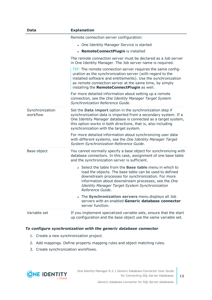| <b>Data</b>                 | <b>Explanation</b>                                                                                                                                                                                                                                                                                                  |
|-----------------------------|---------------------------------------------------------------------------------------------------------------------------------------------------------------------------------------------------------------------------------------------------------------------------------------------------------------------|
|                             | Remote connection server configuration:                                                                                                                                                                                                                                                                             |
|                             | • One Identity Manager Service is started                                                                                                                                                                                                                                                                           |
|                             | • RemoteConnectPlugin is installed                                                                                                                                                                                                                                                                                  |
|                             | The remote connection server must be declared as a Job server<br>in One Identity Manager. The Job server name is required.                                                                                                                                                                                          |
|                             | TIP: The remote connection server requires the same config-<br>uration as the synchronization server (with regard to the<br>installed software and entitlements). Use the synchronization<br>as remote connection server at the same time, by simply<br>installing the RemoteConnectPlugin as well.                 |
|                             | For more detailed information about setting up a remote<br>connection, see the One Identity Manager Target System<br>Synchronization Reference Guide.                                                                                                                                                               |
| Synchronization<br>workflow | Set the Data import option in the synchronization step if<br>synchronization data is imported from a secondary system. If a<br>One Identity Manager database is connected as a target system,<br>this option works in both directions, that is, also including<br>synchronization with the target system.           |
|                             | For more detailed information about synchronizing user data<br>with different systems, see the One Identity Manager Target<br>System Synchronization Reference Guide.                                                                                                                                               |
| Base object                 | You cannot normally specify a base object for synchronizing with<br>database connectors. In this case, assignment of one base table<br>and the synchronization server is sufficient.                                                                                                                                |
|                             | • Select the table from the <b>Base table</b> menu in which to<br>load the objects. The base table can be used to defined<br>downstream processes for synchronization. For more<br>information about downstream processes, see the One<br><b>Identity Manager Target System Synchronization</b><br>Reference Guide. |
|                             | The Synchronization servers menu displays all Job<br>servers with an enabled Generic database connector<br>server function.                                                                                                                                                                                         |
| Variable set                | If you implement specialized variable sets, ensure that the start<br>up configuration and the base object use the same variable set.                                                                                                                                                                                |

#### *To configure synchronization with the generic database connector*

- 1. Create a new synchronization project.
- 2. Add mappings. Define property mapping rules and object matching rules.
- 3. Create synchronization workflows.

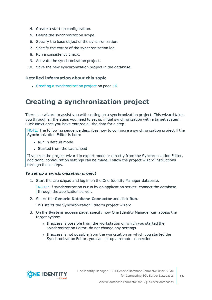- 4. Create a start up configuration.
- 5. Define the synchronization scope.
- 6. Specify the base object of the synchronization.
- 7. Specify the extent of the synchronization log.
- 8. Run a consistency check.
- 9. Activate the synchronization project.
- 10. Save the new synchronization project in the database.

#### **Detailed information about this topic**

 $\cdot$  Creating a [synchronization](#page-15-0) project on page 16

## <span id="page-15-0"></span>**Creating a synchronization project**

There is a wizard to assist you with setting up a synchronization project. This wizard takes you through all the steps you need to set up initial synchronization with a target system. Click **Next** once you have entered all the data for a step.

NOTE: The following sequence describes how to configure a synchronization project if the Synchronization Editor is both:

- Run in default mode
- Started from the Launchpad

If you run the project wizard in expert mode or directly from the Synchronization Editor, additional configuration settings can be made. Follow the project wizard instructions through these steps.

#### *To set up a synchronization project*

1. Start the Launchpad and log in on the One Identity Manager database.

NOTE: If synchronization is run by an application server, connect the database through the application server.

2. Select the **Generic Database Connector** and click **Run**.

This starts the Synchronization Editor's project wizard.

- 3. On the **System access** page, specify how One Identity Manager can access the target system.
	- If access is possible from the workstation on which you started the Synchronization Editor, do not change any settings.
	- If access is not possible from the workstation on which you started the Synchronization Editor, you can set up a remote connection.

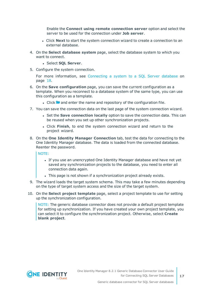Enable the **Connect using remote connection server** option and select the server to be used for the connection under **Job server**.

- **.** Click **Next** to start the system connection wizard to create a connection to an external database.
- 4. On the **Select database system** page, select the database system to which you want to connect.
	- <sup>l</sup> Select **SQL Server**.
- 5. Configure the system connection.

For more [information,](#page-17-0) see Connecting a system to a SQL Server database on [page](#page-17-0) 18.

- 6. On the **Save configuration** page, you can save the current configuration as a template. When you reconnect to a database system of the same type, you can use this configuration as a template.
	- I Click **a** and enter the name and repository of the configuration file.
- 7. You can save the connection data on the last page of the system connection wizard.
	- **.** Set the **Save connection locally** option to save the connection data. This can be reused when you set up other synchronization projects.
	- <sup>l</sup> Click **Finish**, to end the system connection wizard and return to the project wizard.
- 8. On the **One Identity Manager Connection** tab, test the data for connecting to the One Identity Manager database. The data is loaded from the connected database. Reenter the password.

NOTE:

- If you use an unencrypted One Identity Manager database and have not yet saved any synchronization projects to the database, you need to enter all connection data again.
- This page is not shown if a synchronization project already exists.
- 9. The wizard loads the target system schema. This may take a few minutes depending on the type of target system access and the size of the target system.
- 10. On the **Select project template** page, select a project template to use for setting up the synchronization configuration.

NOTE: The generic database connector does not provide a default project template for setting up synchronization. If you have created your own project template, you can select it to configure the synchronization project. Otherwise, select **Create blank project**.

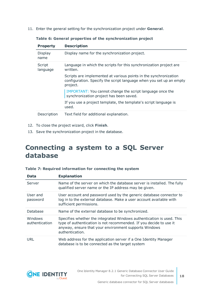11. Enter the general setting for the synchronization project under **General**.

| <b>Property</b>    | <b>Description</b>                                                                                                                                  |
|--------------------|-----------------------------------------------------------------------------------------------------------------------------------------------------|
| Display<br>name    | Display name for the synchronization project.                                                                                                       |
| Script<br>language | Language in which the scripts for this synchronization project are<br>written.                                                                      |
|                    | Scripts are implemented at various points in the synchronization<br>configuration. Specify the script language when you set up an empty<br>project. |
|                    | IMPORTANT: You cannot change the script language once the<br>synchronization project has been saved.                                                |
|                    | If you use a project template, the template's script language is<br>used.                                                                           |
| Description        | Text field for additional explanation.                                                                                                              |

**Table 6: General properties of the synchronization project**

- 12. To close the project wizard, click **Finish**.
- <span id="page-17-0"></span>13. Save the synchronization project in the database.

## **Connecting a system to a SQL Server database**

| <b>Data</b>               | <b>Explanation</b>                                                                                                                                                                                                      |
|---------------------------|-------------------------------------------------------------------------------------------------------------------------------------------------------------------------------------------------------------------------|
| Server                    | Name of the server on which the database server is installed. The fully<br>qualified server name or the IP address may be given.                                                                                        |
| User and<br>password      | User account and password used by the generic database connector to<br>log in to the external database. Make a user account available with<br>sufficient permissions.                                                   |
| Database                  | Name of the external database to be synchronized.                                                                                                                                                                       |
| Windows<br>authentication | Specifies whether the integrated Windows authentication is used. This<br>type of authentication is not recommended. If you decide to use it<br>anyway, ensure that your environment supports Windows<br>authentication. |
| URL                       | Web address for the application server if a One Identity Manager<br>database is to be connected as the target system                                                                                                    |

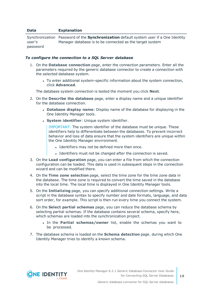#### **Data Explanation**

Synchronization Password of the **Synchronization** default system user if a One Identity user's password Manager database is to be connected as the target system

#### *To configure the connection to a SQL Server database*

- 1. On the **Database connection** page, enter the connection parameters. Enter all the parameters required by the generic database connector to create a connection with the selected database system.
	- To enter additional system-specific information about the system connection, click **Advanced**.

The database system connection is tested the moment you click **Next**.

- 2. On the **Describe the database** page, enter a display name and a unique identifier for the database connection.
	- <sup>l</sup> **Database display name**: Display name of the database for displaying in the One Identity Manager tools.
	- **.** System *identifier*: Unique system *identifier*.

IMPORTANT: The system identifier of the database must be unique. These identifiers help to differentiate between the databases. To prevent incorrect behavior and loss of data ensure that the system identifiers are unique within the One Identity Manager environment.

- Identifiers may not be defined more than once.
- Identifiers must not be changed after the connection is saved.
- 3. On the **Load configuration** page, you can enter a file from which the connection configuration can be loaded. This data is used in subsequent steps in the connection wizard and can be modified there.
- 4. On the **Time zone selection** page, select the time zone for the time zone data in the database. The time zone is required to convert the time saved in the database into the local time. The local time is displayed in One Identity Manager tools.
- 5. On the **Initializing** page, you can specify additional connection settings. Write a script in the database syntax to specify number and date formats, language, and data sort order, for example. This script is then run every time you connect the system.
- 6. On the **Select partial schemas** page, you can reduce the database schema by selecting partial schemas. If the database contains several schema, specify here, which schemas are loaded into the synchronization project.
	- <sup>l</sup> In the **Partial schemas/owner** list, enable the schemas you want to be processed.
- 7. The database schema is loaded on the **Schema detection** page. during which One Identity Manager tries to identify a known schema.

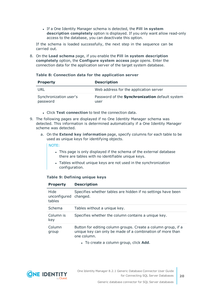<sup>l</sup> If a One Identity Manager schema is detected, the **Fill in system description completely** option is displayed. If you only want allow read-only access to the database, you can deactivate this option.

If the schema is loaded successfully, the next step in the sequence can be carried out.

8. On the **Load schema** page, if you enable the **Fill in system description completely** option, the **Configure system access** page opens. Enter the connection data for the application server of the target system database.

#### **Table 8: Connection data for the application server**

| <b>Property</b>                    | <b>Description</b>                                            |
|------------------------------------|---------------------------------------------------------------|
| URL                                | Web address for the application server                        |
| Synchronization user's<br>password | Password of the <b>Synchronization</b> default system<br>user |

- <sup>l</sup> Click **Test connection** to test the connection data.
- 9. The following pages are displayed if no One Identity Manager schema was detected. This information is determined automatically if a One Identity Manager scheme was detected.
	- a. On the **Extend key information** page, specify columns for each table to be used as unique keys for identifying objects.

#### NOTE:

- This page is only displayed if the schema of the external database there are tables with no identifiable unique keys.
- Tables without unique keys are not used in the synchronization configuration.

#### **Table 9: Defining unique keys**

**Property Description**

| .                                       | _____                                                                                                                                     |
|-----------------------------------------|-------------------------------------------------------------------------------------------------------------------------------------------|
| Hide<br>unconfigured changed.<br>tables | Specifies whether tables are hidden if no settings have been                                                                              |
| Schema                                  | Tables without a unique key.                                                                                                              |
| Column is<br>key                        | Specifies whether the column contains a unique key.                                                                                       |
| Column<br>group                         | Button for editing column groups. Create a column group, if a<br>unique key can only be made of a combination of more than<br>one column. |
|                                         |                                                                                                                                           |

**.** To create a column group, click **Add**.

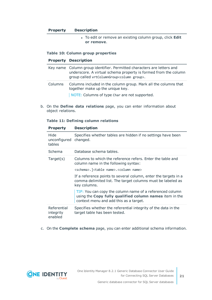#### **Property Description**

**.** To edit or remove an existing column group, click **Edit or remove**.

#### **Table 10: Column group properties**

#### **Property Description**

|         | Key name Column group identifier. Permitted characters are letters and<br>underscore. A virtual schema property is formed from the column<br>group called vrtColumnGroup <column group="">.</column> |
|---------|------------------------------------------------------------------------------------------------------------------------------------------------------------------------------------------------------|
| Columns | Columns included in the column group. Mark all the columns that<br>together make up the unique key.<br>NOTE: Columns of type Char are not supported.                                                 |

b. On the **Define data relations** page, you can enter information about object relations.

#### **Table 11: Defining column relations**

| <b>Property</b>                     | <b>Description</b>                                                                                                                                            |
|-------------------------------------|---------------------------------------------------------------------------------------------------------------------------------------------------------------|
| Hide<br>unconfigured<br>tables      | Specifies whether tables are hidden if no settings have been<br>changed.                                                                                      |
| Schema                              | Database schema tables.                                                                                                                                       |
| Target(s)                           | Columns to which the reference refers. Enter the table and<br>column name in the following syntax:                                                            |
|                                     | <schema>.]<table name="">.<column name=""></column></table></schema>                                                                                          |
|                                     | If a reference points to several column, enter the targets in a<br>comma delimited list. The target columns must be labeled as<br>key columns.                |
|                                     | TIP: You can copy the column name of a referenced column<br>using the Copy fully qualified column names item in the<br>context menu and add this as a target. |
| Referential<br>integrity<br>enabled | Specifies whether the referential integrity of the data in the<br>target table has been tested.                                                               |

#### c. On the **Complete schema** page, you can enter additional schema information.

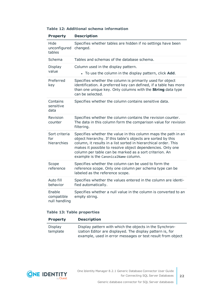| Table 12: Additional schema information |  |  |
|-----------------------------------------|--|--|
|-----------------------------------------|--|--|

| <b>Property</b>                       | <b>Description</b>                                                                                                                                                                                                                                                                                                                                                |
|---------------------------------------|-------------------------------------------------------------------------------------------------------------------------------------------------------------------------------------------------------------------------------------------------------------------------------------------------------------------------------------------------------------------|
| Hide<br>unconfigured<br>tables        | Specifies whether tables are hidden if no settings have been<br>changed.                                                                                                                                                                                                                                                                                          |
| Schema                                | Tables and schemas of the database schema.                                                                                                                                                                                                                                                                                                                        |
| Display                               | Column used in the display pattern.                                                                                                                                                                                                                                                                                                                               |
| value                                 | • To use the column in the display pattern, click Add.                                                                                                                                                                                                                                                                                                            |
| Preferred<br>key                      | Specifies whether the column is primarily used for object<br>identification. A preferred key can defined, if a table has more<br>than one unique key. Only columns with the <b>String</b> data type<br>can be selected.                                                                                                                                           |
| Contains<br>sensitive<br>data         | Specifies whether the column contains sensitive data.                                                                                                                                                                                                                                                                                                             |
| Revision<br>counter                   | Specifies whether the column contains the revision counter.<br>The data in this column form the comparison value for revision<br>filtering.                                                                                                                                                                                                                       |
| Sort criteria<br>for<br>hierarchies   | Specifies whether the value in this column maps the path in an<br>object hierarchy. If this table's objects are sorted by this<br>column, it results in a list sorted in hierarchical order. This<br>makes it possible to resolve object dependencies. Only one<br>column per table can be marked as a sort criterion. An<br>example is the CanonicalName column. |
| Scope<br>reference                    | Specifies whether the column can be used to form the<br>reference scope. Only one column per schema type can be<br>labeled as the reference scope.                                                                                                                                                                                                                |
| Auto fill<br>behavior                 | Specifies whether the values entered in the column are identi-<br>fied automatically.                                                                                                                                                                                                                                                                             |
| Enable<br>compatible<br>null handling | Specifies whether a null value in the column is converted to an<br>empty string.                                                                                                                                                                                                                                                                                  |

#### **Table 13: Table properties**

| <b>Property</b>     | <b>Description</b>                                                                                                                                                                 |
|---------------------|------------------------------------------------------------------------------------------------------------------------------------------------------------------------------------|
| Display<br>template | Display pattern with which the objects in the Synchron-<br>ization Editor are displayed. The display pattern is, for<br>example, used in error messages or test result from object |

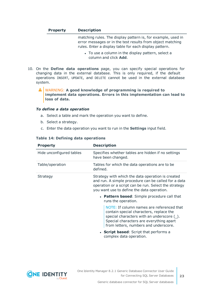| <b>Property</b> | <b>Description</b> |
|-----------------|--------------------|
|-----------------|--------------------|

matching rules. The display pattern is, for example, used in error messages or in the test results from object matching rules. Enter a display table for each display pattern.

- To use a column in the display pattern, select a column and click **Add**.
- 10. On the **Define data operations** page, you can specify special operations for changing data in the external database. This is only required, if the default operations INSERT, UPDATE, and DELETE cannot be used in the external database system.

ΔI WARNING: **A good knowledge of programming is required to implement data operations. Errors in this implementation can lead to loss of data.**

#### *To define a data operation*

- a. Select a table and mark the operation you want to define.
- b. Select a strategy.
- c. Enter the data operation you want to run in the **Settings** input field.

| <b>Property</b>          | <b>Description</b>                                                                                                                                                                                                         |
|--------------------------|----------------------------------------------------------------------------------------------------------------------------------------------------------------------------------------------------------------------------|
| Hide unconfigured tables | Specifies whether tables are hidden if no settings<br>have been changed.                                                                                                                                                   |
| Table/operation          | Tables for which the data operations are to be<br>defined.                                                                                                                                                                 |
| Strategy                 | Strategy with which the data operation is created<br>and run. A simple procedure can be called for a data<br>operation or a script can be run. Select the strategy<br>you want use to define the data operation.           |
|                          | • Pattern based: Simple procedure call that<br>runs the operation.                                                                                                                                                         |
|                          | NOTE: If column names are referenced that<br>contain special characters, replace the<br>special characters with an underscore $(\_)$ .<br>Special characters are everything apart<br>from letters, numbers and underscore. |
|                          | • Script based: Script that performs a<br>complex data operation.                                                                                                                                                          |

#### **Table 14: Defining data operations**

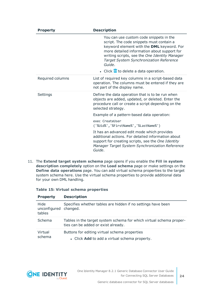| <b>Property</b>  | <b>Description</b>                                                                                                                                                                                                                                                                    |
|------------------|---------------------------------------------------------------------------------------------------------------------------------------------------------------------------------------------------------------------------------------------------------------------------------------|
|                  | You can use custom code snippets in the<br>script. The code snippets must contain a<br>keyword element with the DML keyword. For<br>more detailed information about support for<br>writing scripts, see the One Identity Manager<br>Target System Synchronization Reference<br>Guide. |
|                  | • Click <b>III</b> to delete a data operation.                                                                                                                                                                                                                                        |
| Required columns | List of required key columns in a script-based data<br>operation. The columns must be entered if they are<br>not part of the display name.                                                                                                                                            |
| Settings         | Define the data operation that is to be run when<br>objects are added, updated, or deleted. Enter the<br>procedure call or create a script depending on the<br>selected strategy.                                                                                                     |
|                  | Example of a pattern-based data operation:                                                                                                                                                                                                                                            |
|                  | exec CreateUser<br>('%Uid%','%FirstName%','%LastName%')                                                                                                                                                                                                                               |
|                  | It has an advanced edit mode which provides<br>additional actions. For detailed information about<br>support for creating scripts, see the One Identity<br>Manager Target System Synchronization Reference<br>Guide.                                                                  |

11. The **Extend target system schema** page opens if you enable the **Fill in system description completely** option on the **Load schema** page or make settings on the **Define data operations** page. You can add virtual schema properties to the target system schema here. Use the virtual schema properties to provide additional data for your own DML handling.

|  |  |  |  | Table 15: Virtual schema properties |
|--|--|--|--|-------------------------------------|
|--|--|--|--|-------------------------------------|

| <b>Property</b>                         | <b>Description</b>                                                                                         |
|-----------------------------------------|------------------------------------------------------------------------------------------------------------|
| Hide<br>unconfigured changed.<br>tables | Specifies whether tables are hidden if no settings have been                                               |
| Schema                                  | Tables in the target system schema for which virtual schema proper-<br>ties can be added or exist already. |
| Virtual<br>schema                       | Buttons for editing virtual schema properties<br>• Click Add to add a virtual schema property.             |

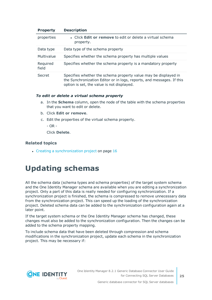| <b>Property</b>   | <b>Description</b>                                                                                                                                                                     |
|-------------------|----------------------------------------------------------------------------------------------------------------------------------------------------------------------------------------|
| properties        | • Click Edit or remove to edit or delete a virtual schema<br>property.                                                                                                                 |
| Data type         | Data type of the schema property                                                                                                                                                       |
| Multivalue        | Specifies whether the schema property has multiple values                                                                                                                              |
| Required<br>field | Specifies whether the schema property is a mandatory property                                                                                                                          |
| Secret            | Specifies whether the schema property value may be displayed in<br>the Synchronization Editor or in logs, reports, and messages. If this<br>option is set, the value is not displayed. |

#### *To edit or delete a virtual schema property*

- a. In the **Schema** column, open the node of the table with the schema properties that you want to edit or delete.
- b. Click **Edit or remove**.
- c. Edit the properties of the virtual schema property.

 $-$  OR  $-$ 

Click **Delete**.

#### **Related topics**

<span id="page-24-0"></span>• Creating a [synchronization](#page-15-0) project on page 16

## **Updating schemas**

All the schema data (schema types and schema properties) of the target system schema and the One Identity Manager schema are available when you are editing a synchronization project. Only a part of this data is really needed for configuring synchronization. If a synchronization project is finished, the schema is compressed to remove unnecessary data from the synchronization project. This can speed up the loading of the synchronization project. Deleted schema data can be added to the synchronization configuration again at a later point.

If the target system schema or the One Identity Manager schema has changed, these changes must also be added to the synchronization configuration. Then the changes can be added to the schema property mapping.

To include schema data that have been deleted through compression and schema modifications in the synchronization project, update each schema in the synchronization project. This may be necessary if:



**25**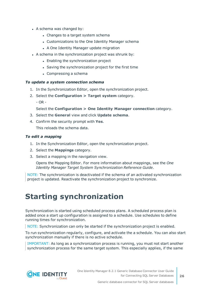- A schema was changed by:
	- Changes to a target system schema
	- Customizations to the One Identity Manager schema
	- A One Identity Manager update migration
- A schema in the synchronization project was shrunk by:
	- Enabling the synchronization project
	- Saving the synchronization project for the first time
	- $\bullet$  Compressing a schema

#### *To update a system connection schema*

- 1. In the Synchronization Editor, open the synchronization project.
- 2. Select the **Configuration > Target system** category.
	- $OR -$

#### Select the **Configuration > One Identity Manager connection** category.

- 3. Select the **General** view and click **Update schema**.
- 4. Confirm the security prompt with **Yes**.

This reloads the schema data.

#### *To edit a mapping*

- 1. In the Synchronization Editor, open the synchronization project.
- 2. Select the **Mappings** category.
- 3. Select a mapping in the navigation view.

Opens the Mapping Editor. For more information about mappings, see the *One Identity Manager Target System Synchronization Reference Guide*.

NOTE: The synchronization is deactivated if the schema of an activated synchronization project is updated. Reactivate the synchronization project to synchronize.

## <span id="page-25-0"></span>**Starting synchronization**

Synchronization is started using scheduled process plans. A scheduled process plan is added once a start up configuration is assigned to a schedule. Use schedules to define running times for synchronization.

NOTE: Synchronization can only be started if the synchronization project is enabled.

To run synchronization regularly, configure, and activate the a schedule. You can also start synchronization manually if there is no active schedule.

IMPORTANT: As long as a synchronization process is running, you must not start another synchronization process for the same target system. This especially applies, if the same

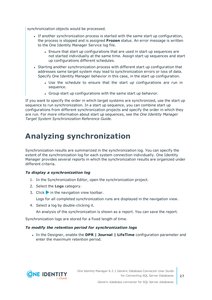synchronization objects would be processed.

- If another synchronization process is started with the same start up configuration, the process is stopped and is assigned **Frozen** status. An error message is written to the One Identity Manager Service log file.
	- Ensure that start up configurations that are used in start up sequences are not started individually at the same time. Assign start up sequences and start up configurations different schedules.
- Starting another synchronization process with different start up configuration that addresses same target system may lead to synchronization errors or loss of data. Specify One Identity Manager behavior in this case, in the start up configuration.
	- Use the schedule to ensure that the start up configurations are run in sequence.
	- Group start up configurations with the same start up behavior.

If you want to specify the order in which target systems are synchronized, use the start up sequence to run synchronization. In a start up sequence, you can combine start up configurations from different synchronization projects and specify the order in which they are run. For more information about start up sequences, see the *One Identity Manager Target System Synchronization Reference Guide*.

## <span id="page-26-0"></span>**Analyzing synchronization**

Synchronization results are summarized in the synchronization log. You can specify the extent of the synchronization log for each system connection individually. One Identity Manager provides several reports in which the synchronization results are organized under different criteria.

#### *To display a synchronization log*

- 1. In the Synchronization Editor, open the synchronization project.
- 2. Select the **Logs** category.
- 3. Click in the navigation view toolbar.

Logs for all completed synchronization runs are displayed in the navigation view.

4. Select a log by double-clicking it.

An analysis of the synchronization is shown as a report. You can save the report.

Synchronization logs are stored for a fixed length of time.

#### *To modify the retention period for synchronization logs*

<sup>l</sup> In the Designer, enable the **DPR | Journal | LifeTime** configuration parameter and enter the maximum retention period.

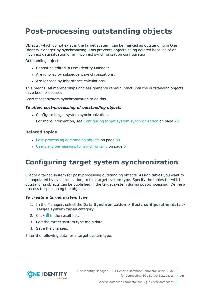# <span id="page-27-0"></span>**Post-processing outstanding objects**

Objects, which do not exist in the target system, can be marked as outstanding in One Identity Manager by synchronizing. This prevents objects being deleted because of an incorrect data situation or an incorrect synchronization configuration.

Outstanding objects:

- Cannot be edited in One Identity Manager.
- Are ignored by subsequent synchronizations.
- Are ignored by inheritance calculations.

This means, all memberships and assignments remain intact until the outstanding objects have been processed.

Start target system synchronization to do this.

#### *To allow post-processing of outstanding objects*

• Configure target system synchronization.

For more information, see Configuring target system [synchronization](#page-27-1) on page 28.

#### **Related topics**

- [Post-processing](#page-29-0) outstanding objects on page 30
- $\cdot$  Users and permissions for [synchronizing](#page-4-0) on page 5

### <span id="page-27-1"></span>**Configuring target system synchronization**

Create a target system for post-processing outstanding objects. Assign tables you want to be populated by synchronization, to this target system type. Specify the tables for which outstanding objects can be published in the target system during post-processing. Define a process for publishing the objects.

#### *To create a target system type*

- 1. In the Manager, select the **Data Synchronization > Basic configuration data > Target system types** category.
- 2. Click  $\mathbf{r}$  in the result list.
- 3. Edit the target system type main data.
- 4. Save the changes.

Enter the following data for a target system type.

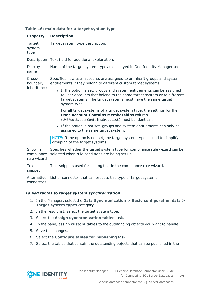| <b>Property</b>                      | <b>Description</b>                                                                                                                                                                                                               |  |  |  |
|--------------------------------------|----------------------------------------------------------------------------------------------------------------------------------------------------------------------------------------------------------------------------------|--|--|--|
| Target<br>system<br>type             | Target system type description.                                                                                                                                                                                                  |  |  |  |
|                                      | Description Text field for additional explanation.                                                                                                                                                                               |  |  |  |
| Display<br>name                      | Name of the target system type as displayed in One Identity Manager tools.                                                                                                                                                       |  |  |  |
| Cross-<br>boundary                   | Specifies how user accounts are assigned to or inherit groups and system<br>entitlements if they belong to different custom target systems.                                                                                      |  |  |  |
| inheritance                          | • If the option is set, groups and system entitlements can be assigned<br>to user accounts that belong to the same target system or to different<br>target systems. The target systems must have the same target<br>system type. |  |  |  |
|                                      | For all target systems of a target system type, the settings for the<br><b>User Account Contains Memberships column</b><br>(UNSRootB.UserContainsGroupList) must be identical.                                                   |  |  |  |
|                                      | • If the option is not set, groups and system entitlements can only be<br>assigned to the same target system.                                                                                                                    |  |  |  |
|                                      | NOTE: If the option is not set, the target system type is used to simplify<br>grouping of the target systems.                                                                                                                    |  |  |  |
| Show in<br>compliance<br>rule wizard | Specifies whether the target system type for compliance rule wizard can be<br>selected when rule conditions are being set up.                                                                                                    |  |  |  |
| Text<br>snippet                      | Text snippets used for linking text in the compliance rule wizard.                                                                                                                                                               |  |  |  |
| Alternative<br>connectors            | List of connector that can process this type of target system.                                                                                                                                                                   |  |  |  |

#### **Table 16: main data for a target system type**

#### *To add tables to target system synchronization*

- 1. In the Manager, select the **Data Synchronization > Basic configuration data > Target system types** category.
- 2. In the result list, select the target system type.
- 3. Select the **Assign synchronization tables** task.
- 4. In the pane, assign **custom** tables to the outstanding objects you want to handle.
- 5. Save the changes.
- 6. Select the **Configure tables for publishing** task.
- 7. Select the tables that contain the outstanding objects that can be published in the

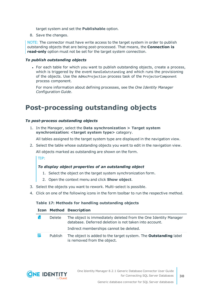target system and set the **Publishable** option.

8. Save the changes.

NOTE: The connector must have write access to the target system in order to publish outstanding objects that are being post-processed. That means, the **Connection is read-only** option must not be set for the target system connection.

#### *To publish outstanding objects*

• For each table for which you want to publish outstanding objects, create a process, which is triggered by the event HandleOutstanding and which runs the provisioning of the objects. Use the AdHocProjection process task of the ProjectorComponent process component.

For more information about defining processes, see the *One Identity Manager Configuration Guide*.

## <span id="page-29-0"></span>**Post-processing outstanding objects**

#### *To post-process outstanding objects*

1. In the Manager, select the **Data synchronization > Target system synchronization: <target system type>** category.

All tables assigned to the target system type are displayed in the navigation view.

2. Select the table whose outstanding objects you want to edit in the navigation view.

All objects marked as outstanding are shown on the form.

TIP:

#### *To display object properties of an outstanding object*

- 1. Select the object on the target system synchronization form.
- 2. Open the context menu and click **Show object**.
- 3. Select the objects you want to rework. Multi-select is possible.
- 4. Click on one of the following icons in the form toolbar to run the respective method.

#### **Table 17: Methods for handling outstanding objects**

|  |    |                | <b>Icon Method Description</b>                                                                                                                                       |
|--|----|----------------|----------------------------------------------------------------------------------------------------------------------------------------------------------------------|
|  | Г× | Delete         | The object is immediately deleted from the One Identity Manager<br>database. Deferred deletion is not taken into account.<br>Indirect memberships cannot be deleted. |
|  | F  | <b>Publish</b> | The object is added to the target system. The <b>Outstanding</b> label<br>is removed from the object.                                                                |

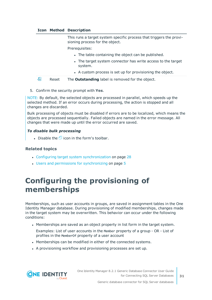#### **Icon Method Description**

This runs a target system specific process that triggers the provisioning process for the object.

Prerequisites:

- The table containing the object can be published.
- The target system connector has write access to the target system.
- A custom process is set up for provisioning the object.

a. Reset The **Outstanding** label is removed for the object.

5. Confirm the security prompt with **Yes**.

NOTE: By default, the selected objects are processed in parallel, which speeds up the selected method. If an error occurs during processing, the action is stopped and all changes are discarded.

Bulk processing of objects must be disabled if errors are to be localized, which means the objects are processed sequentially. Failed objects are named in the error message. All changes that were made up until the error occurred are saved.

#### *To disable bulk processing*

• Disable the  $\overline{1}$  icon in the form's toolbar.

#### **Related topics**

- Configuring target system [synchronization](#page-27-1) on page 28
- Users and permissions for [synchronizing](#page-4-0) on page 5

## <span id="page-30-0"></span>**Configuring the provisioning of memberships**

Memberships, such as user accounts in groups, are saved in assignment tables in the One Identity Manager database. During provisioning of modified memberships, changes made in the target system may be overwritten. This behavior can occur under the following conditions:

- Memberships are saved as an object property in list form in the target system.
- Examples: List of user accounts in the Member property of a group OR List of profiles in the MemberOf property of a user account
- Memberships can be modified in either of the connected systems.
- A provisioning workflow and provisioning processes are set up.

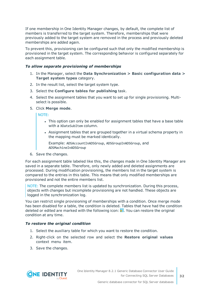If one membership in One Identity Manager changes, by default, the complete list of members is transferred to the target system. Therefore, memberships that were previously added to the target system are removed in the process and previously deleted memberships are added again.

To prevent this, provisioning can be configured such that only the modified membership is provisioned in the target system. The corresponding behavior is configured separately for each assignment table.

#### *To allow separate provisioning of memberships*

- 1. In the Manager, select the **Data Synchronization > Basic configuration data > Target system types** category.
- 2. In the result list, select the target system type.
- 3. Select the **Configure tables for publishing** task.
- 4. Select the assignment tables that you want to set up for single provisioning. Multiselect is possible.
- 5. Click **Merge mode**.

NOTE:

- This option can only be enabled for assignment tables that have a base table with a XDateSubItem column.
- Assignment tables that are grouped together in a virtual schema property in the mapping must be marked identically.

Example: ADSAccountInADSGroup, ADSGroupInADSGroup, and ADSMachineInADSGroup

6. Save the changes.

For each assignment table labeled like this, the changes made in One Identity Manager are saved in a separate table. Therefore, only newly added and deleted assignments are processed. During modification provisioning, the members list in the target system is compared to the entries in this table. This means that only modified memberships are provisioned and not the entire members list.

NOTE: The complete members list is updated by synchronization. During this process, objects with changes but incomplete provisioning are not handled. These objects are logged in the synchronization log.

You can restrict single provisioning of memberships with a condition. Once merge mode has been disabled for a table, the condition is deleted. Tables that have had the condition deleted or edited are marked with the following icon:  $\frac{1}{2}$ . You can restore the original condition at any time.

#### *To restore the original condition*

- 1. Select the auxiliary table for which you want to restore the condition.
- 2. Right-click on the selected row and select the **Restore original values** context menu item.
- 3. Save the changes.



**32**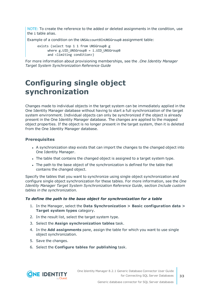NOTE: To create the reference to the added or deleted assignments in the condition, use the i table alias.

Example of a condition on the UNSAccountBInUNSGroupB assignment table:

exists (select top 1 1 from UNSGroupB g where  $g.UID$  UNSGroupB = i.UID UNSGroupB and <limiting condition>)

For more information about provisioning memberships, see the .*One Identity Manager Target System Synchronization Reference Guide*

## <span id="page-32-0"></span>**Configuring single object synchronization**

Changes made to individual objects in the target system can be immediately applied in the One Identity Manager database without having to start a full synchronization of the target system environment. Individual objects can only be synchronized if the object is already present in the One Identity Manager database. The changes are applied to the mapped object properties. If the object is no longer present in the target system, then it is deleted from the One Identity Manager database.

#### **Prerequisites**

- A synchronization step exists that can import the changes to the changed object into One Identity Manager.
- The table that contains the changed object is assigned to a target system type.
- The path to the base object of the synchronization is defined for the table that contains the changed object.

Specify the tables that you want to synchronize using single object synchronization and configure single object synchronization for these tables. For more information, see the *One Identity Manager Target System Synchronization Reference Guide*, section *Include custom tables in the synchronization*.

#### *To define the path to the base object for synchronization for a table*

- 1. In the Manager, select the **Data Synchronization > Basic configuration data > Target system types** category.
- 2. In the result list, select the target system type.
- 3. Select the **Assign synchronization tables** task.
- 4. In the **Add assignments** pane, assign the table for which you want to use single object synchronization.
- 5. Save the changes.
- 6. Select the **Configure tables for publishing** task.



Generic database connector for SQL Server databases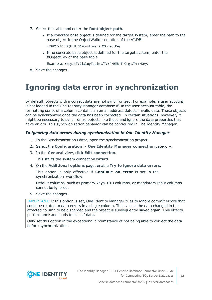- 7. Select the table and enter the **Root object path**.
	- If a concrete base object is defined for the target system, enter the path to the base object in the ObjectWalker notation of the VI.DB.

Example: FK(UID\_GAPCustomer).XObjectKey

• If no concrete base object is defined for the target system, enter the XObjectKey of the base table.

Example: <Key><T>DialogTable</T><P>RMB-T-Org</P></Key>

<span id="page-33-0"></span>8. Save the changes.

## **Ignoring data error in synchronization**

By default, objects with incorrect data are not synchronized. For example, a user account is not loaded in the One Identity Manager database if, in the user account table, the formatting script of a column contains an email address detects invalid data. These objects can be synchronized once the data has been corrected. In certain situations, however, it might be necessary to synchronize objects like these and ignore the data properties that have errors. This synchronization behavior can be configured in One Identity Manager.

#### *To ignoring data errors during synchronization in One Identity Manager*

- 1. In the Synchronization Editor, open the synchronization project.
- 2. Select the **Configuration > One Identity Manager connection** category.
- 3. In the **General** view, click **Edit connection**.

This starts the system connection wizard.

4. On the **Additional options** page, enable **Try to ignore data errors**.

This option is only effective if **Continue on error** is set in the synchronization workflow.

Default columns, such as primary keys, UID columns, or mandatory input columns cannot be ignored.

5. Save the changes.

IMPORTANT: If this option is set, One Identity Manager tries to ignore commit errors that could be related to data errors in a single column. This causes the data changed in the affected column to be discarded and the object is subsequently saved again. This effects performance and leads to loss of data.

Only set this option in the exceptional circumstance of not being able to correct the data before synchronization.

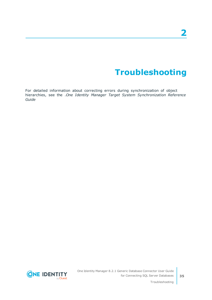# **Troubleshooting**

<span id="page-34-0"></span>For detailed information about correcting errors during synchronization of object hierarchies, see the .*One Identity Manager Target System Synchronization Reference Guide*

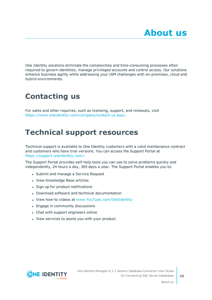<span id="page-35-0"></span>One Identity solutions eliminate the complexities and time-consuming processes often required to govern identities, manage privileged accounts and control access. Our solutions enhance business agility while addressing your IAM challenges with on-premises, cloud and hybrid environments.

# <span id="page-35-1"></span>**Contacting us**

For sales and other inquiries, such as licensing, support, and renewals, visit <https://www.oneidentity.com/company/contact-us.aspx>.

## <span id="page-35-2"></span>**Technical support resources**

Technical support is available to One Identity customers with a valid maintenance contract and customers who have trial versions. You can access the Support Portal at [https://support.oneidentity.com/.](https://support.oneidentity.com/)

The Support Portal provides self-help tools you can use to solve problems quickly and independently, 24 hours a day, 365 days a year. The Support Portal enables you to:

- Submit and manage a Service Request
- View Knowledge Base articles
- Sign up for product notifications
- Download software and technical documentation
- View how-to videos at [www.YouTube.com/OneIdentity](http://www.youtube.com/OneIdentity)
- Engage in community discussions
- Chat with support engineers online
- View services to assist you with your product



About us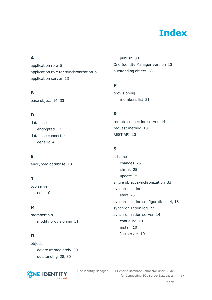# **Index**

### <span id="page-36-0"></span>**A**

application role [5](#page-4-0) application role for synchronization [9](#page-8-0) application server [13](#page-12-0)

### **B**

base object [14](#page-13-0), [33](#page-32-0)

### **D**

database encrypted [13](#page-12-0) database connector generic [4](#page-3-0)

### **E**

encrypted database [13](#page-12-0)

### **J**

Job server edit [10](#page-9-0)

### **M**

membership modify provisioning [31](#page-30-0)

### **O**

object delete immediately [30](#page-29-0) outstanding [28](#page-27-0), [30](#page-29-0)



publish [30](#page-29-0) One Identity Manager version [13](#page-12-0) outstanding object [28](#page-27-0)

### **P**

provisioning members list [31](#page-30-0)

### **R**

remote connection server [14](#page-13-0) request method [13](#page-12-0) REST API [13](#page-12-0)

### **S**

schema changes [25](#page-24-0) shrink [25](#page-24-0) update [25](#page-24-0) single object synchronization [33](#page-32-0) synchronization start [26](#page-25-0) synchronization configuration [14](#page-13-0), [16](#page-15-0) synchronization log [27](#page-26-0) synchronization server [14](#page-13-0) configure [10](#page-9-0) install [10](#page-9-0) Job server [10](#page-9-0)

Index